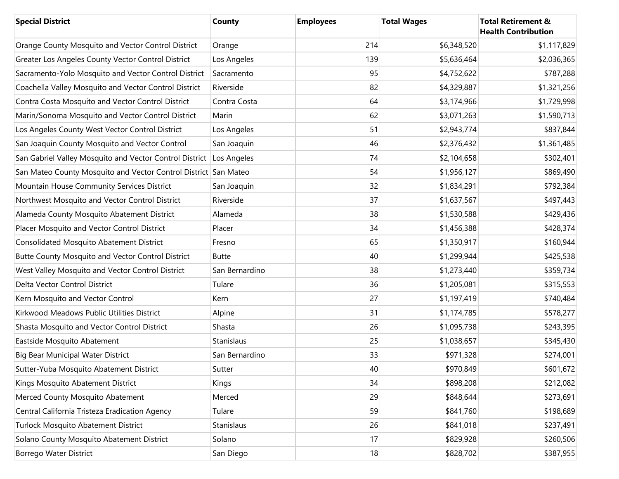| <b>Special District</b>                                             | <b>County</b>     | <b>Employees</b> | <b>Total Wages</b> | <b>Total Retirement &amp;</b><br><b>Health Contribution</b> |
|---------------------------------------------------------------------|-------------------|------------------|--------------------|-------------------------------------------------------------|
| Orange County Mosquito and Vector Control District                  | Orange            | 214              | \$6,348,520        | \$1,117,829                                                 |
| Greater Los Angeles County Vector Control District                  | Los Angeles       | 139              | \$5,636,464        | \$2,036,365                                                 |
| Sacramento-Yolo Mosquito and Vector Control District                | Sacramento        | 95               | \$4,752,622        | \$787,288                                                   |
| Coachella Valley Mosquito and Vector Control District               | Riverside         | 82               | \$4,329,887        | \$1,321,256                                                 |
| Contra Costa Mosquito and Vector Control District                   | Contra Costa      | 64               | \$3,174,966        | \$1,729,998                                                 |
| Marin/Sonoma Mosquito and Vector Control District                   | Marin             | 62               | \$3,071,263        | \$1,590,713                                                 |
| Los Angeles County West Vector Control District                     | Los Angeles       | 51               | \$2,943,774        | \$837,844                                                   |
| San Joaquin County Mosquito and Vector Control                      | San Joaquin       | 46               | \$2,376,432        | \$1,361,485                                                 |
| San Gabriel Valley Mosquito and Vector Control District Los Angeles |                   | 74               | \$2,104,658        | \$302,401                                                   |
| San Mateo County Mosquito and Vector Control District San Mateo     |                   | 54               | \$1,956,127        | \$869,490                                                   |
| Mountain House Community Services District                          | San Joaquin       | 32               | \$1,834,291        | \$792,384                                                   |
| Northwest Mosquito and Vector Control District                      | Riverside         | 37               | \$1,637,567        | \$497,443                                                   |
| Alameda County Mosquito Abatement District                          | Alameda           | 38               | \$1,530,588        | \$429,436                                                   |
| Placer Mosquito and Vector Control District                         | Placer            | 34               | \$1,456,388        | \$428,374                                                   |
| <b>Consolidated Mosquito Abatement District</b>                     | Fresno            | 65               | \$1,350,917        | \$160,944                                                   |
| Butte County Mosquito and Vector Control District                   | <b>Butte</b>      | 40               | \$1,299,944        | \$425,538                                                   |
| West Valley Mosquito and Vector Control District                    | San Bernardino    | 38               | \$1,273,440        | \$359,734                                                   |
| Delta Vector Control District                                       | Tulare            | 36               | \$1,205,081        | \$315,553                                                   |
| Kern Mosquito and Vector Control                                    | Kern              | 27               | \$1,197,419        | \$740,484                                                   |
| Kirkwood Meadows Public Utilities District                          | Alpine            | 31               | \$1,174,785        | \$578,277                                                   |
| Shasta Mosquito and Vector Control District                         | Shasta            | 26               | \$1,095,738        | \$243,395                                                   |
| Eastside Mosquito Abatement                                         | <b>Stanislaus</b> | 25               | \$1,038,657        | \$345,430                                                   |
| Big Bear Municipal Water District                                   | San Bernardino    | 33               | \$971,328          | \$274,001                                                   |
| Sutter-Yuba Mosquito Abatement District                             | Sutter            | 40               | \$970,849          | \$601,672                                                   |
| Kings Mosquito Abatement District                                   | Kings             | 34               | \$898,208          | \$212,082                                                   |
| Merced County Mosquito Abatement                                    | Merced            | 29               | \$848,644          | \$273,691                                                   |
| Central California Tristeza Eradication Agency                      | Tulare            | 59               | \$841,760          | \$198,689                                                   |
| Turlock Mosquito Abatement District                                 | Stanislaus        | 26               | \$841,018          | \$237,491                                                   |
| Solano County Mosquito Abatement District                           | Solano            | 17               | \$829,928          | \$260,506                                                   |
| Borrego Water District                                              | San Diego         | 18               | \$828,702          | \$387,955                                                   |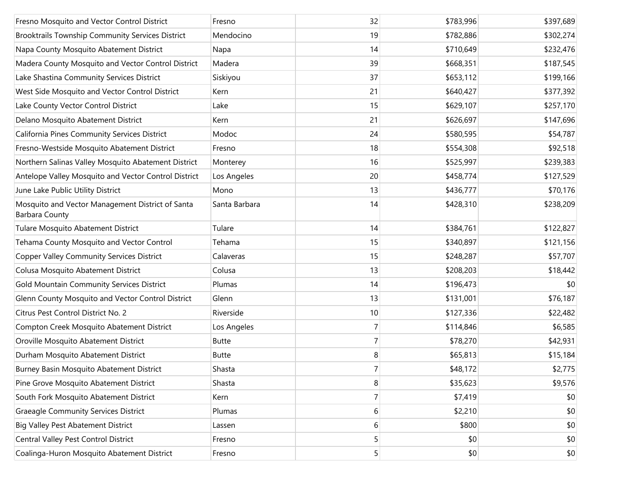| Fresno Mosquito and Vector Control District                               | Fresno        | 32             | \$783,996 | \$397,689 |
|---------------------------------------------------------------------------|---------------|----------------|-----------|-----------|
| Brooktrails Township Community Services District                          | Mendocino     | 19             | \$782,886 | \$302,274 |
| Napa County Mosquito Abatement District                                   | Napa          | 14             | \$710,649 | \$232,476 |
| Madera County Mosquito and Vector Control District                        | Madera        | 39             | \$668,351 | \$187,545 |
| Lake Shastina Community Services District                                 | Siskiyou      | 37             | \$653,112 | \$199,166 |
| West Side Mosquito and Vector Control District                            | Kern          | 21             | \$640,427 | \$377,392 |
| Lake County Vector Control District                                       | Lake          | 15             | \$629,107 | \$257,170 |
| Delano Mosquito Abatement District                                        | Kern          | 21             | \$626,697 | \$147,696 |
| California Pines Community Services District                              | Modoc         | 24             | \$580,595 | \$54,787  |
| Fresno-Westside Mosquito Abatement District                               | Fresno        | 18             | \$554,308 | \$92,518  |
| Northern Salinas Valley Mosquito Abatement District                       | Monterey      | 16             | \$525,997 | \$239,383 |
| Antelope Valley Mosquito and Vector Control District                      | Los Angeles   | 20             | \$458,774 | \$127,529 |
| June Lake Public Utility District                                         | Mono          | 13             | \$436,777 | \$70,176  |
| Mosquito and Vector Management District of Santa<br><b>Barbara County</b> | Santa Barbara | 14             | \$428,310 | \$238,209 |
| Tulare Mosquito Abatement District                                        | Tulare        | 14             | \$384,761 | \$122,827 |
| Tehama County Mosquito and Vector Control                                 | Tehama        | 15             | \$340,897 | \$121,156 |
| <b>Copper Valley Community Services District</b>                          | Calaveras     | 15             | \$248,287 | \$57,707  |
| Colusa Mosquito Abatement District                                        | Colusa        | 13             | \$208,203 | \$18,442  |
| Gold Mountain Community Services District                                 | Plumas        | 14             | \$196,473 | \$0       |
| Glenn County Mosquito and Vector Control District                         | Glenn         | 13             | \$131,001 | \$76,187  |
| Citrus Pest Control District No. 2                                        | Riverside     | 10             | \$127,336 | \$22,482  |
| Compton Creek Mosquito Abatement District                                 | Los Angeles   | 7              | \$114,846 | \$6,585   |
| Oroville Mosquito Abatement District                                      | <b>Butte</b>  | $\overline{7}$ | \$78,270  | \$42,931  |
| Durham Mosquito Abatement District                                        | <b>Butte</b>  | 8              | \$65,813  | \$15,184  |
| Burney Basin Mosquito Abatement District                                  | Shasta        | $\mathbf{7}$   | \$48,172  | \$2,775   |
| Pine Grove Mosquito Abatement District                                    | Shasta        | 8              | \$35,623  | \$9,576   |
| South Fork Mosquito Abatement District                                    | Kern          | $\overline{7}$ | \$7,419   | \$0       |
| <b>Graeagle Community Services District</b>                               | Plumas        | 6              | \$2,210   | \$0       |
| <b>Big Valley Pest Abatement District</b>                                 | Lassen        | 6              | \$800     | \$0       |
| Central Valley Pest Control District                                      | Fresno        | 5              | \$0       | \$0       |
| Coalinga-Huron Mosquito Abatement District                                | Fresno        | 5              | \$0       | \$0       |